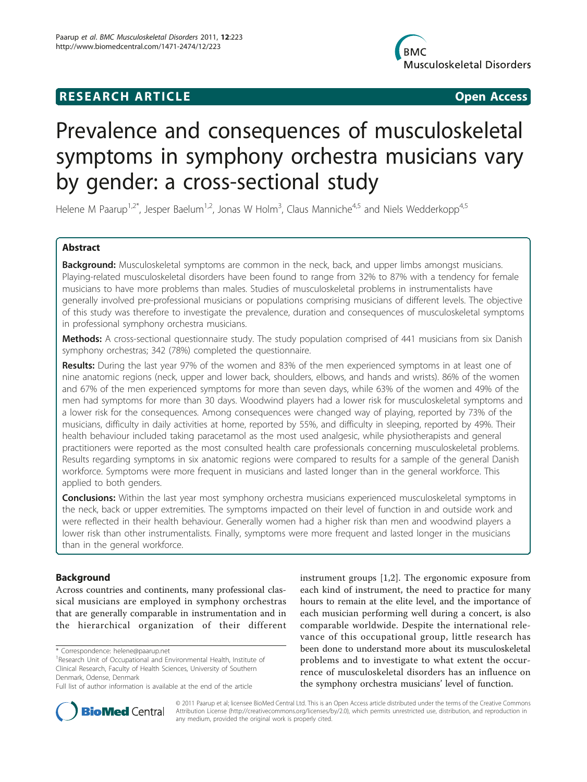## **RESEARCH ARTICLE Example 2018 CONSIDERING ACCESS**



# Prevalence and consequences of musculoskeletal symptoms in symphony orchestra musicians vary by gender: a cross-sectional study

Helene M Paarup<sup>1,2\*</sup>, Jesper Baelum<sup>1,2</sup>, Jonas W Holm<sup>3</sup>, Claus Manniche<sup>4,5</sup> and Niels Wedderkopp<sup>4,5</sup>

## Abstract

Background: Musculoskeletal symptoms are common in the neck, back, and upper limbs amongst musicians. Playing-related musculoskeletal disorders have been found to range from 32% to 87% with a tendency for female musicians to have more problems than males. Studies of musculoskeletal problems in instrumentalists have generally involved pre-professional musicians or populations comprising musicians of different levels. The objective of this study was therefore to investigate the prevalence, duration and consequences of musculoskeletal symptoms in professional symphony orchestra musicians.

Methods: A cross-sectional questionnaire study. The study population comprised of 441 musicians from six Danish symphony orchestras; 342 (78%) completed the questionnaire.

Results: During the last year 97% of the women and 83% of the men experienced symptoms in at least one of nine anatomic regions (neck, upper and lower back, shoulders, elbows, and hands and wrists). 86% of the women and 67% of the men experienced symptoms for more than seven days, while 63% of the women and 49% of the men had symptoms for more than 30 days. Woodwind players had a lower risk for musculoskeletal symptoms and a lower risk for the consequences. Among consequences were changed way of playing, reported by 73% of the musicians, difficulty in daily activities at home, reported by 55%, and difficulty in sleeping, reported by 49%. Their health behaviour included taking paracetamol as the most used analgesic, while physiotherapists and general practitioners were reported as the most consulted health care professionals concerning musculoskeletal problems. Results regarding symptoms in six anatomic regions were compared to results for a sample of the general Danish workforce. Symptoms were more frequent in musicians and lasted longer than in the general workforce. This applied to both genders.

**Conclusions:** Within the last year most symphony orchestra musicians experienced musculoskeletal symptoms in the neck, back or upper extremities. The symptoms impacted on their level of function in and outside work and were reflected in their health behaviour. Generally women had a higher risk than men and woodwind players a lower risk than other instrumentalists. Finally, symptoms were more frequent and lasted longer in the musicians than in the general workforce.

## Background

Across countries and continents, many professional classical musicians are employed in symphony orchestras that are generally comparable in instrumentation and in the hierarchical organization of their different

\* Correspondence: [helene@paarup.net](mailto:helene@paarup.net)

<sup>1</sup> Research Unit of Occupational and Environmental Health, Institute of Clinical Research, Faculty of Health Sciences, University of Southern Denmark, Odense, Denmark

instrument groups [[1,2](#page-12-0)]. The ergonomic exposure from each kind of instrument, the need to practice for many hours to remain at the elite level, and the importance of each musician performing well during a concert, is also comparable worldwide. Despite the international relevance of this occupational group, little research has been done to understand more about its musculoskeletal problems and to investigate to what extent the occurrence of musculoskeletal disorders has an influence on the symphony orchestra musicians' level of function.



© 2011 Paarup et al; licensee BioMed Central Ltd. This is an Open Access article distributed under the terms of the Creative Commons Attribution License [\(http://creativecommons.org/licenses/by/2.0](http://creativecommons.org/licenses/by/2.0)), which permits unrestricted use, distribution, and reproduction in any medium, provided the original work is properly cited.

Full list of author information is available at the end of the article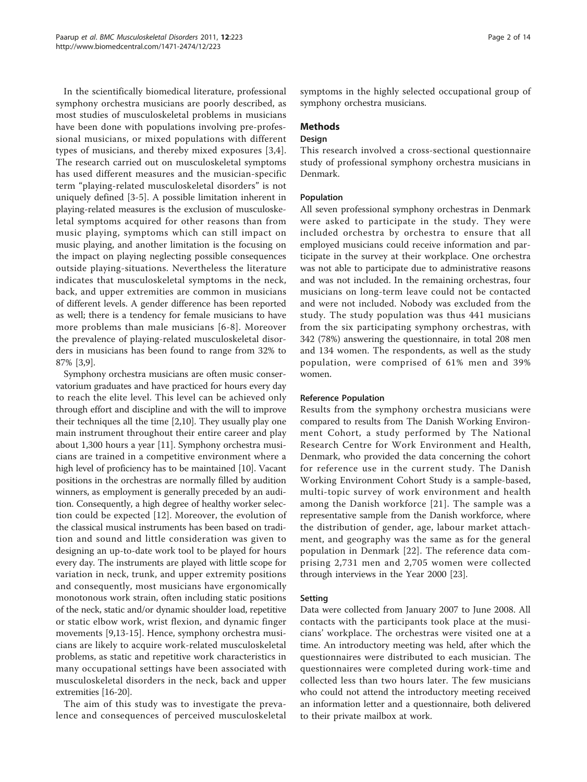In the scientifically biomedical literature, professional symphony orchestra musicians are poorly described, as most studies of musculoskeletal problems in musicians have been done with populations involving pre-professional musicians, or mixed populations with different types of musicians, and thereby mixed exposures [[3,4](#page-12-0)]. The research carried out on musculoskeletal symptoms has used different measures and the musician-specific term "playing-related musculoskeletal disorders" is not uniquely defined [\[3](#page-12-0)-[5\]](#page-12-0). A possible limitation inherent in playing-related measures is the exclusion of musculoskeletal symptoms acquired for other reasons than from music playing, symptoms which can still impact on music playing, and another limitation is the focusing on the impact on playing neglecting possible consequences outside playing-situations. Nevertheless the literature indicates that musculoskeletal symptoms in the neck, back, and upper extremities are common in musicians of different levels. A gender difference has been reported as well; there is a tendency for female musicians to have more problems than male musicians [[6-8\]](#page-12-0). Moreover the prevalence of playing-related musculoskeletal disorders in musicians has been found to range from 32% to 87% [[3,9\]](#page-12-0).

Symphony orchestra musicians are often music conservatorium graduates and have practiced for hours every day to reach the elite level. This level can be achieved only through effort and discipline and with the will to improve their techniques all the time [\[2,10\]](#page-12-0). They usually play one main instrument throughout their entire career and play about 1,300 hours a year [\[11\]](#page-12-0). Symphony orchestra musicians are trained in a competitive environment where a high level of proficiency has to be maintained [[10\]](#page-12-0). Vacant positions in the orchestras are normally filled by audition winners, as employment is generally preceded by an audition. Consequently, a high degree of healthy worker selection could be expected [[12\]](#page-12-0). Moreover, the evolution of the classical musical instruments has been based on tradition and sound and little consideration was given to designing an up-to-date work tool to be played for hours every day. The instruments are played with little scope for variation in neck, trunk, and upper extremity positions and consequently, most musicians have ergonomically monotonous work strain, often including static positions of the neck, static and/or dynamic shoulder load, repetitive or static elbow work, wrist flexion, and dynamic finger movements [\[9,13](#page-12-0)-[15\]](#page-12-0). Hence, symphony orchestra musicians are likely to acquire work-related musculoskeletal problems, as static and repetitive work characteristics in many occupational settings have been associated with musculoskeletal disorders in the neck, back and upper extremities [\[16-20\]](#page-12-0).

The aim of this study was to investigate the prevalence and consequences of perceived musculoskeletal symptoms in the highly selected occupational group of symphony orchestra musicians.

## Methods

## Design

This research involved a cross-sectional questionnaire study of professional symphony orchestra musicians in Denmark.

## Population

All seven professional symphony orchestras in Denmark were asked to participate in the study. They were included orchestra by orchestra to ensure that all employed musicians could receive information and participate in the survey at their workplace. One orchestra was not able to participate due to administrative reasons and was not included. In the remaining orchestras, four musicians on long-term leave could not be contacted and were not included. Nobody was excluded from the study. The study population was thus 441 musicians from the six participating symphony orchestras, with 342 (78%) answering the questionnaire, in total 208 men and 134 women. The respondents, as well as the study population, were comprised of 61% men and 39% women.

## Reference Population

Results from the symphony orchestra musicians were compared to results from The Danish Working Environment Cohort, a study performed by The National Research Centre for Work Environment and Health, Denmark, who provided the data concerning the cohort for reference use in the current study. The Danish Working Environment Cohort Study is a sample-based, multi-topic survey of work environment and health among the Danish workforce [[21](#page-13-0)]. The sample was a representative sample from the Danish workforce, where the distribution of gender, age, labour market attachment, and geography was the same as for the general population in Denmark [[22\]](#page-13-0). The reference data comprising 2,731 men and 2,705 women were collected through interviews in the Year 2000 [[23](#page-13-0)].

## Setting

Data were collected from January 2007 to June 2008. All contacts with the participants took place at the musicians' workplace. The orchestras were visited one at a time. An introductory meeting was held, after which the questionnaires were distributed to each musician. The questionnaires were completed during work-time and collected less than two hours later. The few musicians who could not attend the introductory meeting received an information letter and a questionnaire, both delivered to their private mailbox at work.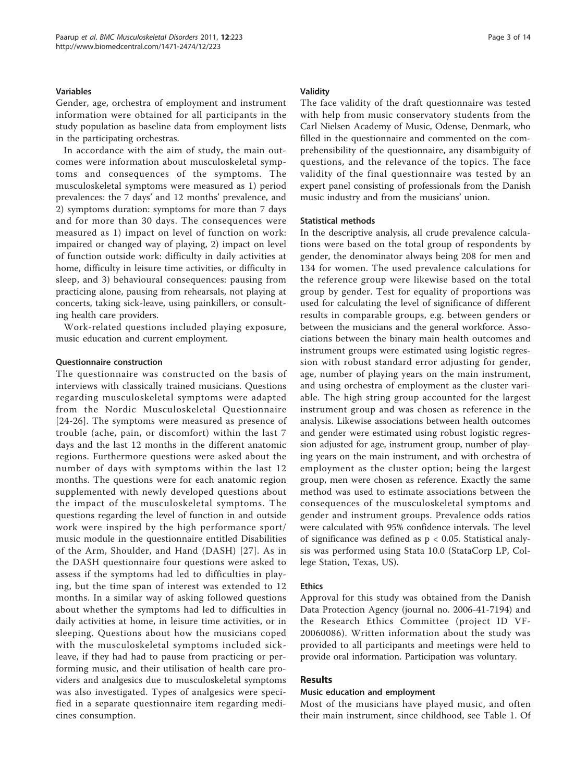## Variables

Gender, age, orchestra of employment and instrument information were obtained for all participants in the study population as baseline data from employment lists in the participating orchestras.

In accordance with the aim of study, the main outcomes were information about musculoskeletal symptoms and consequences of the symptoms. The musculoskeletal symptoms were measured as 1) period prevalences: the 7 days' and 12 months' prevalence, and 2) symptoms duration: symptoms for more than 7 days and for more than 30 days. The consequences were measured as 1) impact on level of function on work: impaired or changed way of playing, 2) impact on level of function outside work: difficulty in daily activities at home, difficulty in leisure time activities, or difficulty in sleep, and 3) behavioural consequences: pausing from practicing alone, pausing from rehearsals, not playing at concerts, taking sick-leave, using painkillers, or consulting health care providers.

Work-related questions included playing exposure, music education and current employment.

## Questionnaire construction

The questionnaire was constructed on the basis of interviews with classically trained musicians. Questions regarding musculoskeletal symptoms were adapted from the Nordic Musculoskeletal Questionnaire [[24](#page-13-0)-[26](#page-13-0)]. The symptoms were measured as presence of trouble (ache, pain, or discomfort) within the last 7 days and the last 12 months in the different anatomic regions. Furthermore questions were asked about the number of days with symptoms within the last 12 months. The questions were for each anatomic region supplemented with newly developed questions about the impact of the musculoskeletal symptoms. The questions regarding the level of function in and outside work were inspired by the high performance sport/ music module in the questionnaire entitled Disabilities of the Arm, Shoulder, and Hand (DASH) [[27\]](#page-13-0). As in the DASH questionnaire four questions were asked to assess if the symptoms had led to difficulties in playing, but the time span of interest was extended to 12 months. In a similar way of asking followed questions about whether the symptoms had led to difficulties in daily activities at home, in leisure time activities, or in sleeping. Questions about how the musicians coped with the musculoskeletal symptoms included sickleave, if they had had to pause from practicing or performing music, and their utilisation of health care providers and analgesics due to musculoskeletal symptoms was also investigated. Types of analgesics were specified in a separate questionnaire item regarding medicines consumption.

## **Validity**

The face validity of the draft questionnaire was tested with help from music conservatory students from the Carl Nielsen Academy of Music, Odense, Denmark, who filled in the questionnaire and commented on the comprehensibility of the questionnaire, any disambiguity of questions, and the relevance of the topics. The face validity of the final questionnaire was tested by an expert panel consisting of professionals from the Danish music industry and from the musicians' union.

## Statistical methods

In the descriptive analysis, all crude prevalence calculations were based on the total group of respondents by gender, the denominator always being 208 for men and 134 for women. The used prevalence calculations for the reference group were likewise based on the total group by gender. Test for equality of proportions was used for calculating the level of significance of different results in comparable groups, e.g. between genders or between the musicians and the general workforce. Associations between the binary main health outcomes and instrument groups were estimated using logistic regression with robust standard error adjusting for gender, age, number of playing years on the main instrument, and using orchestra of employment as the cluster variable. The high string group accounted for the largest instrument group and was chosen as reference in the analysis. Likewise associations between health outcomes and gender were estimated using robust logistic regression adjusted for age, instrument group, number of playing years on the main instrument, and with orchestra of employment as the cluster option; being the largest group, men were chosen as reference. Exactly the same method was used to estimate associations between the consequences of the musculoskeletal symptoms and gender and instrument groups. Prevalence odds ratios were calculated with 95% confidence intervals. The level of significance was defined as  $p < 0.05$ . Statistical analysis was performed using Stata 10.0 (StataCorp LP, College Station, Texas, US).

## **Ethics**

Approval for this study was obtained from the Danish Data Protection Agency (journal no. 2006-41-7194) and the Research Ethics Committee (project ID VF-20060086). Written information about the study was provided to all participants and meetings were held to provide oral information. Participation was voluntary.

## Results

## Music education and employment

Most of the musicians have played music, and often their main instrument, since childhood, see Table [1](#page-3-0). Of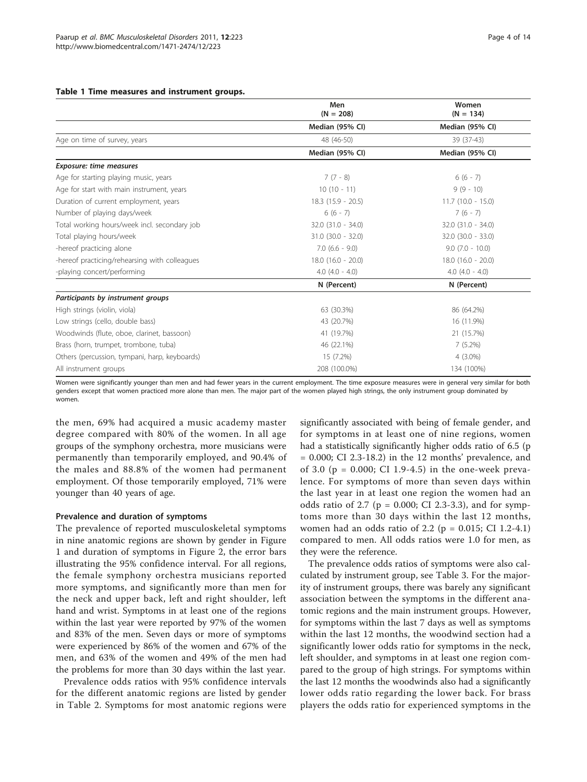#### <span id="page-3-0"></span>Table 1 Time measures and instrument groups.

|                                               | Men<br>$(N = 208)$     | Women<br>$(N = 134)$   |
|-----------------------------------------------|------------------------|------------------------|
|                                               | Median (95% CI)        | Median (95% CI)        |
| Age on time of survey, years                  | 48 (46-50)             | 39 (37-43)             |
|                                               | Median (95% CI)        | Median (95% CI)        |
| <b>Exposure: time measures</b>                |                        |                        |
| Age for starting playing music, years         | $7(7 - 8)$             | $6(6 - 7)$             |
| Age for start with main instrument, years     | $10(10 - 11)$          | $9(9 - 10)$            |
| Duration of current employment, years         | $18.3$ (15.9 - 20.5)   | $11.7(10.0 - 15.0)$    |
| Number of playing days/week                   | $6(6 - 7)$             | $7(6 - 7)$             |
| Total working hours/week incl. secondary job  | 32.0 (31.0 - 34.0)     | $32.0$ $(31.0 - 34.0)$ |
| Total playing hours/week                      | $31.0$ $(30.0 - 32.0)$ | $32.0$ $(30.0 - 33.0)$ |
| -hereof practicing alone                      | $7.0$ (6.6 - 9.0)      | $9.0$ (7.0 - 10.0)     |
| -hereof practicing/rehearsing with colleagues | $18.0$ (16.0 - 20.0)   | $18.0$ $(16.0 - 20.0)$ |
| -playing concert/performing                   | $4.0$ $(4.0 - 4.0)$    | $4.0$ $(4.0 - 4.0)$    |
|                                               | N (Percent)            | N (Percent)            |
| Participants by instrument groups             |                        |                        |
| High strings (violin, viola)                  | 63 (30.3%)             | 86 (64.2%)             |
| Low strings (cello, double bass)              | 43 (20.7%)             | 16 (11.9%)             |
| Woodwinds (flute, oboe, clarinet, bassoon)    | 41 (19.7%)             | 21 (15.7%)             |
| Brass (horn, trumpet, trombone, tuba)         | 46 (22.1%)             | $7(5.2\%)$             |
| Others (percussion, tympani, harp, keyboards) | 15 (7.2%)              | $4(3.0\%)$             |
| All instrument groups                         | 208 (100.0%)           | 134 (100%)             |

Women were significantly younger than men and had fewer years in the current employment. The time exposure measures were in general very similar for both genders except that women practiced more alone than men. The major part of the women played high strings, the only instrument group dominated by women.

the men, 69% had acquired a music academy master degree compared with 80% of the women. In all age groups of the symphony orchestra, more musicians were permanently than temporarily employed, and 90.4% of the males and 88.8% of the women had permanent employment. Of those temporarily employed, 71% were younger than 40 years of age.

## Prevalence and duration of symptoms

The prevalence of reported musculoskeletal symptoms in nine anatomic regions are shown by gender in Figure [1](#page-4-0) and duration of symptoms in Figure [2,](#page-5-0) the error bars illustrating the 95% confidence interval. For all regions, the female symphony orchestra musicians reported more symptoms, and significantly more than men for the neck and upper back, left and right shoulder, left hand and wrist. Symptoms in at least one of the regions within the last year were reported by 97% of the women and 83% of the men. Seven days or more of symptoms were experienced by 86% of the women and 67% of the men, and 63% of the women and 49% of the men had the problems for more than 30 days within the last year.

Prevalence odds ratios with 95% confidence intervals for the different anatomic regions are listed by gender in Table [2.](#page-6-0) Symptoms for most anatomic regions were

significantly associated with being of female gender, and for symptoms in at least one of nine regions, women had a statistically significantly higher odds ratio of 6.5 (p = 0.000; CI 2.3-18.2) in the 12 months' prevalence, and of 3.0 ( $p = 0.000$ ; CI 1.9-4.5) in the one-week prevalence. For symptoms of more than seven days within the last year in at least one region the women had an odds ratio of 2.7 ( $p = 0.000$ ; CI 2.3-3.3), and for symptoms more than 30 days within the last 12 months, women had an odds ratio of 2.2 ( $p = 0.015$ ; CI 1.2-4.1) compared to men. All odds ratios were 1.0 for men, as they were the reference.

The prevalence odds ratios of symptoms were also calculated by instrument group, see Table [3](#page-6-0). For the majority of instrument groups, there was barely any significant association between the symptoms in the different anatomic regions and the main instrument groups. However, for symptoms within the last 7 days as well as symptoms within the last 12 months, the woodwind section had a significantly lower odds ratio for symptoms in the neck, left shoulder, and symptoms in at least one region compared to the group of high strings. For symptoms within the last 12 months the woodwinds also had a significantly lower odds ratio regarding the lower back. For brass players the odds ratio for experienced symptoms in the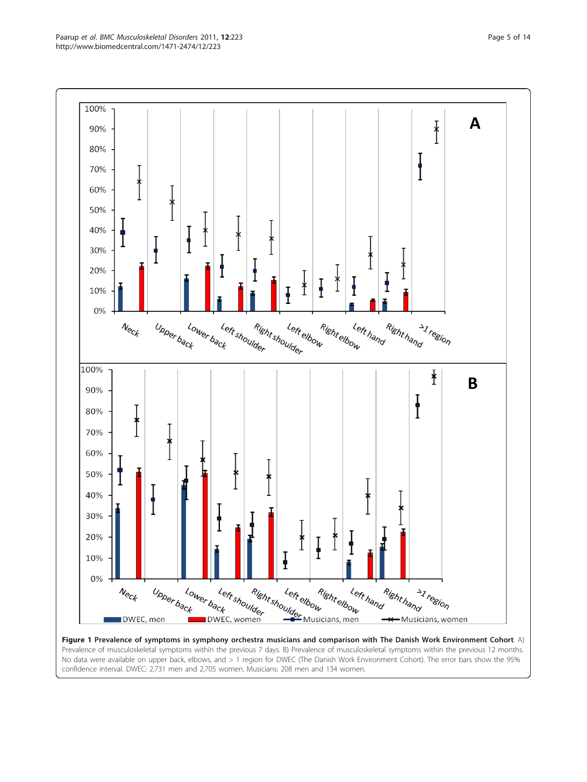<span id="page-4-0"></span>

Prevalence of musculoskeletal symptoms within the previous 7 days. B) Prevalence of musculoskeletal symptoms within the previous 12 months. No data were available on upper back, elbows, and > 1 region for DWEC (The Danish Work Environment Cohort). The error bars show the 95% confidence interval. DWEC: 2,731 men and 2,705 women. Musicians: 208 men and 134 women.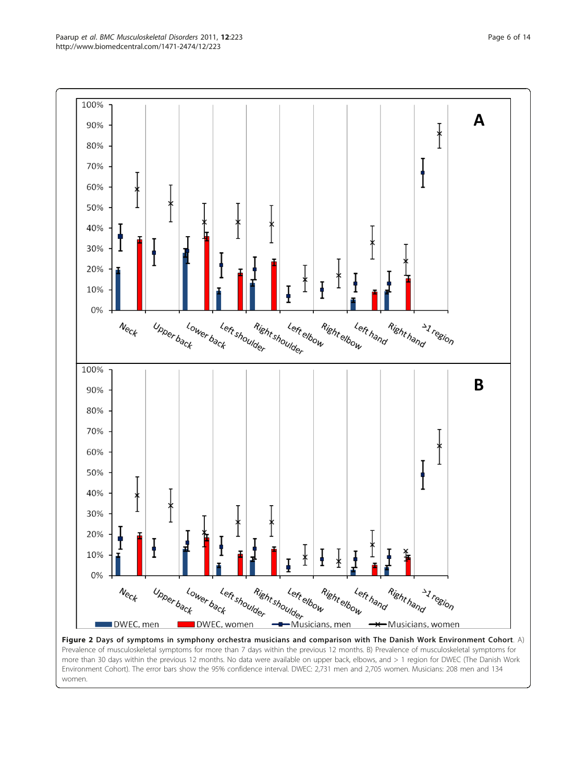<span id="page-5-0"></span>

Prevalence of musculoskeletal symptoms for more than 7 days within the previous 12 months. B) Prevalence of musculoskeletal symptoms for more than 30 days within the previous 12 months. No data were available on upper back, elbows, and > 1 region for DWEC (The Danish Work Environment Cohort). The error bars show the 95% confidence interval. DWEC: 2,731 men and 2,705 women. Musicians: 208 men and 134 women.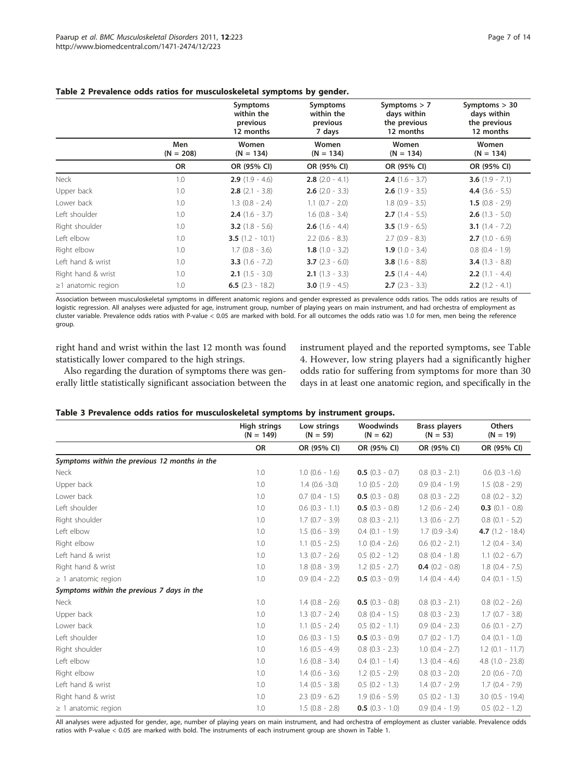|                          |                    | Symptoms<br>within the<br>previous<br>12 months | Symptoms<br>within the<br>previous<br>7 days | Symptoms $> 7$<br>days within<br>the previous<br>12 months | Symptoms $> 30$<br>days within<br>the previous<br>12 months |
|--------------------------|--------------------|-------------------------------------------------|----------------------------------------------|------------------------------------------------------------|-------------------------------------------------------------|
|                          | Men<br>$(N = 208)$ | Women<br>$(N = 134)$                            | Women<br>$(N = 134)$                         | Women<br>$(N = 134)$                                       | Women<br>$(N = 134)$                                        |
|                          | <b>OR</b>          | OR (95% CI)                                     | OR (95% CI)                                  | OR (95% CI)                                                | OR (95% CI)                                                 |
| Neck                     | 1.0                | <b>2.9</b> $(1.9 - 4.6)$                        | <b>2.8</b> $(2.0 - 4.1)$                     | <b>2.4</b> $(1.6 - 3.7)$                                   | <b>3.6</b> $(1.9 - 7.1)$                                    |
| Upper back               | 1.0                | <b>2.8</b> $(2.1 - 3.8)$                        | <b>2.6</b> $(2.0 - 3.3)$                     | <b>2.6</b> $(1.9 - 3.5)$                                   | 4.4 $(3.6 - 5.5)$                                           |
| Lower back               | 1.0                | $1.3$ (0.8 - 2.4)                               | $1.1$ (0.7 - 2.0)                            | $1.8$ (0.9 - 3.5)                                          | 1.5 $(0.8 - 2.9)$                                           |
| Left shoulder            | 1.0                | <b>2.4</b> $(1.6 - 3.7)$                        | $1.6$ (0.8 - 3.4)                            | <b>2.7</b> $(1.4 - 5.5)$                                   | <b>2.6</b> $(1.3 - 5.0)$                                    |
| Right shoulder           | 1.0                | <b>3.2</b> $(1.8 - 5.6)$                        | <b>2.6</b> $(1.6 - 4.4)$                     | <b>3.5</b> $(1.9 - 6.5)$                                   | <b>3.1</b> $(1.4 - 7.2)$                                    |
| Left elbow               | 1.0                | 3.5 $(1.2 - 10.1)$                              | $2.2$ (0.6 - 8.3)                            | $2.7$ (0.9 - 8.3)                                          | <b>2.7</b> $(1.0 - 6.9)$                                    |
| Right elbow              | 1.0                | $1.7(0.8 - 3.6)$                                | <b>1.8</b> $(1.0 - 3.2)$                     | <b>1.9</b> $(1.0 - 3.4)$                                   | $0.8$ $(0.4 - 1.9)$                                         |
| Left hand & wrist        | 1.0                | <b>3.3</b> $(1.6 - 7.2)$                        | <b>3.7</b> $(2.3 - 6.0)$                     | 3.8 $(1.6 - 8.8)$                                          | <b>3.4</b> $(1.3 - 8.8)$                                    |
| Right hand & wrist       | 1.0                | <b>2.1</b> $(1.5 - 3.0)$                        | <b>2.1</b> $(1.3 - 3.3)$                     | <b>2.5</b> $(1.4 - 4.4)$                                   | <b>2.2</b> $(1.1 - 4.4)$                                    |
| $\geq$ 1 anatomic region | 1.0                | 6.5 $(2.3 - 18.2)$                              | <b>3.0</b> $(1.9 - 4.5)$                     | <b>2.7</b> $(2.3 - 3.3)$                                   | <b>2.2</b> $(1.2 - 4.1)$                                    |

## <span id="page-6-0"></span>Table 2 Prevalence odds ratios for musculoskeletal symptoms by gender.

Association between musculoskeletal symptoms in different anatomic regions and gender expressed as prevalence odds ratios. The odds ratios are results of logistic regression. All analyses were adjusted for age, instrument group, number of playing years on main instrument, and had orchestra of employment as cluster variable. Prevalence odds ratios with P-value < 0.05 are marked with bold. For all outcomes the odds ratio was 1.0 for men, men being the reference group.

right hand and wrist within the last 12 month was found statistically lower compared to the high strings.

Also regarding the duration of symptoms there was generally little statistically significant association between the instrument played and the reported symptoms, see Table [4.](#page-7-0) However, low string players had a significantly higher odds ratio for suffering from symptoms for more than 30 days in at least one anatomic region, and specifically in the

|  | Table 3 Prevalence odds ratios for musculoskeletal symptoms by instrument groups. |  |  |
|--|-----------------------------------------------------------------------------------|--|--|
|--|-----------------------------------------------------------------------------------|--|--|

|                                               | <b>High strings</b><br>$(N = 149)$ | Low strings<br>$(N = 59)$ | Woodwinds<br>$(N = 62)$ | <b>Brass players</b><br>$(N = 53)$ | <b>Others</b><br>$(N = 19)$ |
|-----------------------------------------------|------------------------------------|---------------------------|-------------------------|------------------------------------|-----------------------------|
|                                               | <b>OR</b>                          | OR (95% CI)               | OR (95% CI)             | OR (95% CI)                        | OR (95% CI)                 |
| Symptoms within the previous 12 months in the |                                    |                           |                         |                                    |                             |
| Neck                                          | 1.0                                | $1.0$ (0.6 - 1.6)         | $0.5$ (0.3 - 0.7)       | $0.8$ $(0.3 - 2.1)$                | $0.6$ $(0.3 -1.6)$          |
| Upper back                                    | 1.0                                | $1.4(0.6-3.0)$            | $1.0$ (0.5 - 2.0)       | $0.9(0.4 - 1.9)$                   | $1.5$ (0.8 - 2.9)           |
| Lower back                                    | 1.0                                | $0.7$ $(0.4 - 1.5)$       | $0.5$ (0.3 - 0.8)       | $0.8$ $(0.3 - 2.2)$                | $0.8$ $(0.2 - 3.2)$         |
| Left shoulder                                 | 1.0                                | $0.6$ $(0.3 - 1.1)$       | $0.5$ (0.3 - 0.8)       | $1.2$ (0.6 - 2.4)                  | $0.3$ (0.1 - 0.8)           |
| Right shoulder                                | 1.0                                | $1.7(0.7 - 3.9)$          | $0.8$ $(0.3 - 2.1)$     | $1.3$ (0.6 - 2.7)                  | $0.8$ $(0.1 - 5.2)$         |
| Left elbow                                    | 1.0                                | $1.5(0.6 - 3.9)$          | $0.4$ $(0.1 - 1.9)$     | $1.7(0.9 - 3.4)$                   | 4.7 $(1.2 - 18.4)$          |
| Right elbow                                   | 1.0                                | $1.1$ (0.5 - 2.5)         | $1.0$ (0.4 - 2.6)       | $0.6$ $(0.2 - 2.1)$                | $1.2$ (0.4 - 3.4)           |
| Left hand & wrist                             | 1.0                                | $1.3$ (0.7 - 2.6)         | $0.5$ $(0.2 - 1.2)$     | $0.8$ $(0.4 - 1.8)$                | $1.1$ (0.2 - 6.7)           |
| Right hand & wrist                            | 1.0                                | $1.8$ (0.8 - 3.9)         | $1.2$ (0.5 - 2.7)       | $0.4$ (0.2 - 0.8)                  | $1.8$ (0.4 - 7.5)           |
| $\geq$ 1 anatomic region                      | 1.0                                | $0.9$ $(0.4 - 2.2)$       | $0.5$ (0.3 - 0.9)       | $1.4(0.4 - 4.4)$                   | $0.4$ $(0.1 - 1.5)$         |
| Symptoms within the previous 7 days in the    |                                    |                           |                         |                                    |                             |
| Neck                                          | 1.0                                | $1.4$ (0.8 - 2.6)         | $0.5$ (0.3 - 0.8)       | $0.8$ $(0.3 - 2.1)$                | $0.8$ $(0.2 - 2.6)$         |
| Upper back                                    | 1.0                                | $1.3$ (0.7 - 2.4)         | $0.8$ (0.4 - 1.5)       | $0.8$ $(0.3 - 2.3)$                | $1.7(0.7 - 3.8)$            |
| Lower back                                    | 1.0                                | $1.1$ (0.5 - 2.4)         | $0.5$ $(0.2 - 1.1)$     | $0.9(0.4 - 2.3)$                   | $0.6$ $(0.1 - 2.7)$         |
| Left shoulder                                 | 1.0                                | $0.6$ $(0.3 - 1.5)$       | $0.5$ (0.3 - 0.9)       | $0.7$ (0.2 - 1.7)                  | $0.4$ $(0.1 - 1.0)$         |
| Right shoulder                                | 1.0                                | $1.6$ (0.5 - 4.9)         | $0.8$ $(0.3 - 2.3)$     | $1.0$ (0.4 - 2.7)                  | $1.2$ (0.1 - 11.7)          |
| Left elbow                                    | 1.0                                | $1.6$ (0.8 - 3.4)         | $0.4$ $(0.1 - 1.4)$     | $1.3(0.4 - 4.6)$                   | $4.8$ $(1.0 - 23.8)$        |
| Right elbow                                   | 1.0                                | $1.4$ (0.6 - 3.6)         | $1.2$ (0.5 - 2.9)       | $0.8$ $(0.3 - 2.0)$                | $2.0$ (0.6 - 7.0)           |
| Left hand & wrist                             | 1.0                                | $1.4$ (0.5 - 3.8)         | $0.5$ $(0.2 - 1.3)$     | $1.4$ (0.7 - 2.9)                  | $1.7(0.4 - 7.9)$            |
| Right hand & wrist                            | 1.0                                | $2.3$ (0.9 - 6.2)         | $1.9(0.6 - 5.9)$        | $0.5$ $(0.2 - 1.3)$                | $3.0$ (0.5 - 19.4)          |
| $\geq$ 1 anatomic region                      | 1.0                                | $1.5(0.8 - 2.8)$          | $0.5$ (0.3 - 1.0)       | $0.9$ $(0.4 - 1.9)$                | $0.5$ $(0.2 - 1.2)$         |

All analyses were adjusted for gender, age, number of playing years on main instrument, and had orchestra of employment as cluster variable. Prevalence odds ratios with P-value < 0.05 are marked with bold. The instruments of each instrument group are shown in Table 1.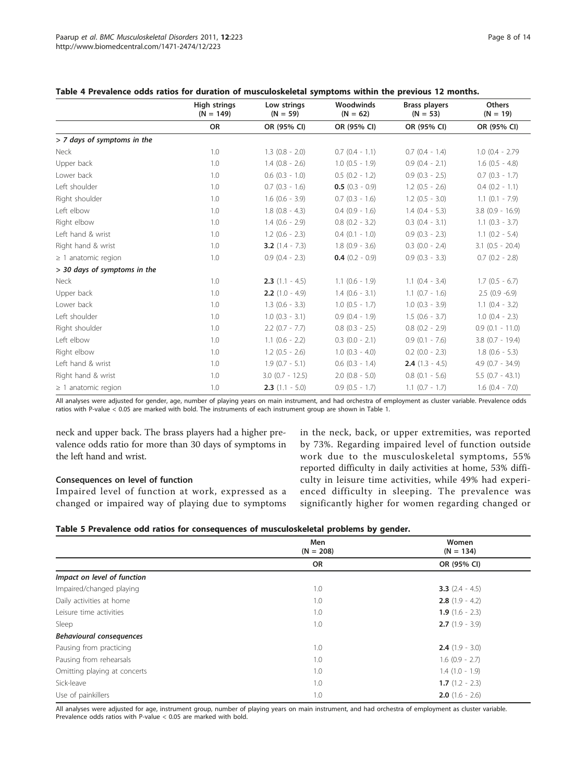<span id="page-7-0"></span>

| Table 4 Prevalence odds ratios for duration of musculoskeletal symptoms within the previous 12 months. |  |
|--------------------------------------------------------------------------------------------------------|--|
|--------------------------------------------------------------------------------------------------------|--|

|                              | High strings<br>$(N = 149)$ | Low strings<br>$(N = 59)$ | Woodwinds<br>$(N = 62)$ | <b>Brass players</b><br>$(N = 53)$ | <b>Others</b><br>$(N = 19)$ |
|------------------------------|-----------------------------|---------------------------|-------------------------|------------------------------------|-----------------------------|
|                              | <b>OR</b>                   | OR (95% CI)               | OR (95% CI)             | OR (95% CI)                        | OR (95% CI)                 |
| > 7 days of symptoms in the  |                             |                           |                         |                                    |                             |
| Neck                         | 1.0                         | $1.3$ $(0.8 - 2.0)$       | $0.7$ $(0.4 - 1.1)$     | $0.7$ $(0.4 - 1.4)$                | $1.0$ (0.4 - 2.79)          |
| Upper back                   | 1.0                         | $1.4$ (0.8 - 2.6)         | $1.0$ (0.5 - 1.9)       | $0.9$ $(0.4 - 2.1)$                | $1.6$ $(0.5 - 4.8)$         |
| Lower back                   | 1.0                         | $0.6$ $(0.3 - 1.0)$       | $0.5$ $(0.2 - 1.2)$     | $0.9$ $(0.3 - 2.5)$                | $0.7$ $(0.3 - 1.7)$         |
| Left shoulder                | 1.0                         | $0.7$ $(0.3 - 1.6)$       | $0.5$ (0.3 - 0.9)       | $1.2$ (0.5 - 2.6)                  | $0.4$ $(0.2 - 1.1)$         |
| Right shoulder               | 1.0                         | $1.6$ (0.6 - 3.9)         | $0.7$ $(0.3 - 1.6)$     | $1.2$ (0.5 - 3.0)                  | $1.1$ (0.1 - 7.9)           |
| Left elbow                   | 1.0                         | $1.8$ (0.8 - 4.3)         | $0.4$ $(0.9 - 1.6)$     | $1.4(0.4 - 5.3)$                   | $3.8$ (0.9 - 16.9)          |
| Right elbow                  | 1.0                         | $1.4(0.6 - 2.9)$          | $0.8$ $(0.2 - 3.2)$     | $0.3$ $(0.4 - 3.1)$                | $1.1$ (0.3 - 3.7)           |
| Left hand & wrist            | 1.0                         | $1.2$ (0.6 - 2.3)         | $0.4$ $(0.1 - 1.0)$     | $0.9$ $(0.3 - 2.3)$                | $1.1$ (0.2 - 5.4)           |
| Right hand & wrist           | 1.0                         | <b>3.2</b> $(1.4 - 7.3)$  | $1.8$ (0.9 - 3.6)       | $0.3$ $(0.0 - 2.4)$                | $3.1$ (0.5 - 20.4)          |
| $\geq$ 1 anatomic region     | 1.0                         | $0.9$ $(0.4 - 2.3)$       | $0.4$ (0.2 - 0.9)       | $0.9$ $(0.3 - 3.3)$                | $0.7$ $(0.2 - 2.8)$         |
| > 30 days of symptoms in the |                             |                           |                         |                                    |                             |
| Neck                         | 1.0                         | <b>2.3</b> $(1.1 - 4.5)$  | $1.1$ (0.6 - 1.9)       | $1.1$ (0.4 - 3.4)                  | $1.7(0.5 - 6.7)$            |
| Upper back                   | 1.0                         | <b>2.2</b> $(1.0 - 4.9)$  | $1.4$ (0.6 - 3.1)       | $1.1$ (0.7 - 1.6)                  | $2.5(0.9-6.9)$              |
| Lower back                   | 1.0                         | $1.3$ (0.6 - 3.3)         | $1.0$ (0.5 - 1.7)       | $1.0$ (0.3 - 3.9)                  | $1.1$ (0.4 - 3.2)           |
| Left shoulder                | 1.0                         | $1.0$ (0.3 - 3.1)         | $0.9$ $(0.4 - 1.9)$     | $1.5(0.6 - 3.7)$                   | $1.0$ (0.4 - 2.3)           |
| Right shoulder               | 1.0                         | $2.2$ (0.7 - 7.7)         | $0.8$ $(0.3 - 2.5)$     | $0.8$ $(0.2 - 2.9)$                | $0.9$ $(0.1 - 11.0)$        |
| Left elbow                   | 1.0                         | $1.1$ (0.6 - 2.2)         | $0.3$ $(0.0 - 2.1)$     | $0.9$ (0.1 - 7.6)                  | $3.8$ (0.7 - 19.4)          |
| Right elbow                  | 1.0                         | $1.2$ (0.5 - 2.6)         | $1.0$ (0.3 - 4.0)       | $0.2$ (0.0 - 2.3)                  | $1.8$ (0.6 - 5.3)           |
| Left hand & wrist            | 1.0                         | $1.9(0.7 - 5.1)$          | $0.6$ $(0.3 - 1.4)$     | <b>2.4</b> $(1.3 - 4.5)$           | $4.9$ (0.7 - 34.9)          |
| Right hand & wrist           | 1.0                         | $3.0$ (0.7 - 12.5)        | $2.0$ (0.8 - 5.0)       | $0.8$ (0.1 - 5.6)                  | $5.5$ (0.7 - 43.1)          |
| $\geq$ 1 anatomic region     | 1.0                         | <b>2.3</b> $(1.1 - 5.0)$  | $0.9$ $(0.5 - 1.7)$     | $1.1$ (0.7 - 1.7)                  | $1.6$ (0.4 - 7.0)           |

All analyses were adjusted for gender, age, number of playing years on main instrument, and had orchestra of employment as cluster variable. Prevalence odds ratios with P-value < 0.05 are marked with bold. The instruments of each instrument group are shown in Table 1.

neck and upper back. The brass players had a higher prevalence odds ratio for more than 30 days of symptoms in the left hand and wrist.

## Consequences on level of function

Impaired level of function at work, expressed as a changed or impaired way of playing due to symptoms in the neck, back, or upper extremities, was reported by 73%. Regarding impaired level of function outside work due to the musculoskeletal symptoms, 55% reported difficulty in daily activities at home, 53% difficulty in leisure time activities, while 49% had experienced difficulty in sleeping. The prevalence was significantly higher for women regarding changed or

|  |  |  |  |  | Table 5 Prevalence odd ratios for consequences of musculoskeletal problems by gender. |  |  |
|--|--|--|--|--|---------------------------------------------------------------------------------------|--|--|
|--|--|--|--|--|---------------------------------------------------------------------------------------|--|--|

|                                 | Men<br>$(N = 208)$ | Women<br>$(N = 134)$     |
|---------------------------------|--------------------|--------------------------|
|                                 | <b>OR</b>          | OR (95% CI)              |
| Impact on level of function     |                    |                          |
| Impaired/changed playing        | 1.0                | <b>3.3</b> $(2.4 - 4.5)$ |
| Daily activities at home        | 1.0                | <b>2.8</b> $(1.9 - 4.2)$ |
| Leisure time activities         | 1.0                | <b>1.9</b> $(1.6 - 2.3)$ |
| Sleep                           | 1.0                | $2.7(1.9 - 3.9)$         |
| <b>Behavioural consequences</b> |                    |                          |
| Pausing from practicing         | 1.0                | <b>2.4</b> $(1.9 - 3.0)$ |
| Pausing from rehearsals         | 1.0                | $1.6$ (0.9 - 2.7)        |
| Omitting playing at concerts    | 1.0                | $1.4(1.0 - 1.9)$         |
| Sick-leave                      | 1.0                | $1.7(1.2 - 2.3)$         |
| Use of painkillers              | 1.0                | <b>2.0</b> $(1.6 - 2.6)$ |

All analyses were adjusted for age, instrument group, number of playing years on main instrument, and had orchestra of employment as cluster variable. Prevalence odds ratios with P-value < 0.05 are marked with bold.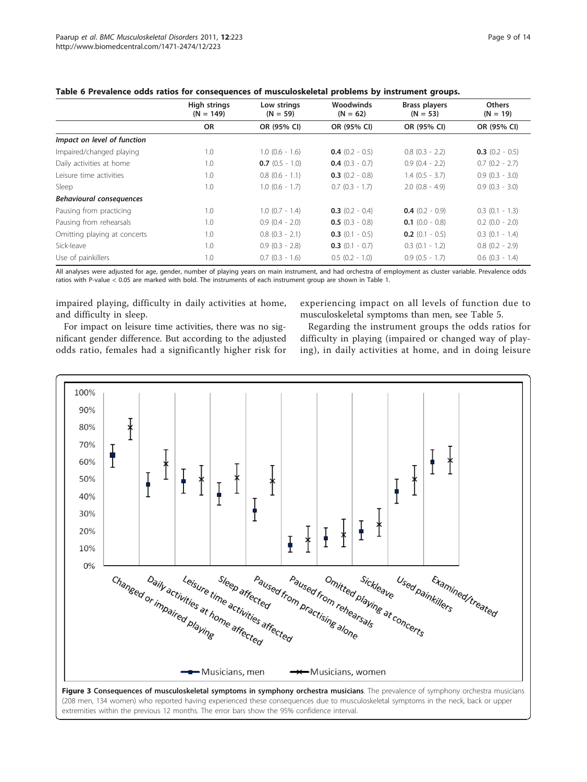|                                 | <b>High strings</b><br>$(N = 149)$ | Low strings<br>$(N = 59)$ | Woodwinds<br>$(N = 62)$  | <b>Brass players</b><br>$(N = 53)$ | <b>Others</b><br>$(N = 19)$ |
|---------------------------------|------------------------------------|---------------------------|--------------------------|------------------------------------|-----------------------------|
|                                 | <b>OR</b>                          | OR (95% CI)               | OR (95% CI)              | OR (95% CI)                        | OR (95% CI)                 |
| Impact on level of function     |                                    |                           |                          |                                    |                             |
| Impaired/changed playing        | 1.0                                | $1.0$ (0.6 - 1.6)         | <b>0.4</b> $(0.2 - 0.5)$ | $0.8$ $(0.3 - 2.2)$                | $0.3$ (0.2 - 0.5)           |
| Daily activities at home        | 1.0                                | $0.7$ (0.5 - 1.0)         | $0.4$ (0.3 - 0.7)        | $0.9$ $(0.4 - 2.2)$                | $0.7$ $(0.2 - 2.7)$         |
| Leisure time activities         | 1.0                                | $0.8$ $(0.6 - 1.1)$       | $0.3$ (0.2 - 0.8)        | $1.4$ (0.5 - 3.7)                  | $0.9(0.3 - 3.0)$            |
| Sleep                           | 1.0                                | $1.0$ (0.6 - 1.7)         | $0.7$ $(0.3 - 1.7)$      | $2.0$ (0.8 - 4.9)                  | $0.9$ $(0.3 - 3.0)$         |
| <b>Behavioural consequences</b> |                                    |                           |                          |                                    |                             |
| Pausing from practicing         | 1.0                                | $1.0$ (0.7 - 1.4)         | $0.3$ (0.2 - 0.4)        | $0.4$ (0.2 - 0.9)                  | $0.3$ $(0.1 - 1.3)$         |
| Pausing from rehearsals         | 1.0                                | $0.9(0.4 - 2.0)$          | $0.5$ (0.3 - 0.8)        | <b>0.1</b> $(0.0 - 0.8)$           | $0.2$ (0.0 - 2.0)           |
| Omitting playing at concerts    | 1.0                                | $0.8$ $(0.3 - 2.1)$       | <b>0.3</b> $(0.1 - 0.5)$ | <b>0.2</b> $(0.1 - 0.5)$           | $0.3$ $(0.1 - 1.4)$         |
| Sick-leave                      | 1.0                                | $0.9$ $(0.3 - 2.8)$       | $0.3$ (0.1 - 0.7)        | $0.3$ $(0.1 - 1.2)$                | $0.8$ $(0.2 - 2.9)$         |
| Use of painkillers              | 1.0                                | $0.7$ $(0.3 - 1.6)$       | $0.5$ $(0.2 - 1.0)$      | $0.9(0.5 - 1.7)$                   | $0.6$ $(0.3 - 1.4)$         |

<span id="page-8-0"></span>

|  | Table 6 Prevalence odds ratios for consequences of musculoskeletal problems by instrument groups. |
|--|---------------------------------------------------------------------------------------------------|
|--|---------------------------------------------------------------------------------------------------|

All analyses were adjusted for age, gender, number of playing years on main instrument, and had orchestra of employment as cluster variable. Prevalence odds ratios with P-value < 0.05 are marked with bold. The instruments of each instrument group are shown in Table 1.

impaired playing, difficulty in daily activities at home, and difficulty in sleep.

experiencing impact on all levels of function due to musculoskeletal symptoms than men, see Table [5.](#page-7-0)

For impact on leisure time activities, there was no significant gender difference. But according to the adjusted odds ratio, females had a significantly higher risk for

Regarding the instrument groups the odds ratios for difficulty in playing (impaired or changed way of playing), in daily activities at home, and in doing leisure

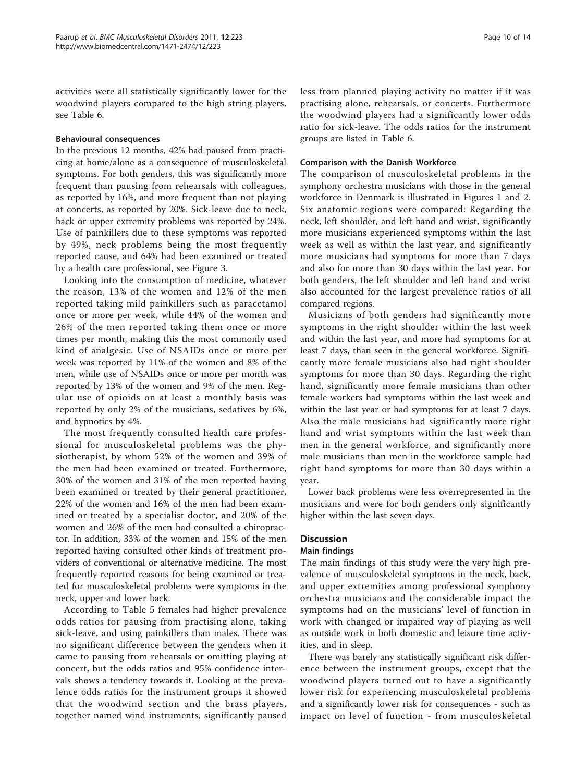activities were all statistically significantly lower for the woodwind players compared to the high string players, see Table [6](#page-8-0).

## Behavioural consequences

In the previous 12 months, 42% had paused from practicing at home/alone as a consequence of musculoskeletal symptoms. For both genders, this was significantly more frequent than pausing from rehearsals with colleagues, as reported by 16%, and more frequent than not playing at concerts, as reported by 20%. Sick-leave due to neck, back or upper extremity problems was reported by 24%. Use of painkillers due to these symptoms was reported by 49%, neck problems being the most frequently reported cause, and 64% had been examined or treated by a health care professional, see Figure [3.](#page-8-0)

Looking into the consumption of medicine, whatever the reason, 13% of the women and 12% of the men reported taking mild painkillers such as paracetamol once or more per week, while 44% of the women and 26% of the men reported taking them once or more times per month, making this the most commonly used kind of analgesic. Use of NSAIDs once or more per week was reported by 11% of the women and 8% of the men, while use of NSAIDs once or more per month was reported by 13% of the women and 9% of the men. Regular use of opioids on at least a monthly basis was reported by only 2% of the musicians, sedatives by 6%, and hypnotics by 4%.

The most frequently consulted health care professional for musculoskeletal problems was the physiotherapist, by whom 52% of the women and 39% of the men had been examined or treated. Furthermore, 30% of the women and 31% of the men reported having been examined or treated by their general practitioner, 22% of the women and 16% of the men had been examined or treated by a specialist doctor, and 20% of the women and 26% of the men had consulted a chiropractor. In addition, 33% of the women and 15% of the men reported having consulted other kinds of treatment providers of conventional or alternative medicine. The most frequently reported reasons for being examined or treated for musculoskeletal problems were symptoms in the neck, upper and lower back.

According to Table [5](#page-7-0) females had higher prevalence odds ratios for pausing from practising alone, taking sick-leave, and using painkillers than males. There was no significant difference between the genders when it came to pausing from rehearsals or omitting playing at concert, but the odds ratios and 95% confidence intervals shows a tendency towards it. Looking at the prevalence odds ratios for the instrument groups it showed that the woodwind section and the brass players, together named wind instruments, significantly paused less from planned playing activity no matter if it was practising alone, rehearsals, or concerts. Furthermore the woodwind players had a significantly lower odds ratio for sick-leave. The odds ratios for the instrument groups are listed in Table [6](#page-8-0).

## Comparison with the Danish Workforce

The comparison of musculoskeletal problems in the symphony orchestra musicians with those in the general workforce in Denmark is illustrated in Figures [1](#page-4-0) and [2](#page-5-0). Six anatomic regions were compared: Regarding the neck, left shoulder, and left hand and wrist, significantly more musicians experienced symptoms within the last week as well as within the last year, and significantly more musicians had symptoms for more than 7 days and also for more than 30 days within the last year. For both genders, the left shoulder and left hand and wrist also accounted for the largest prevalence ratios of all compared regions.

Musicians of both genders had significantly more symptoms in the right shoulder within the last week and within the last year, and more had symptoms for at least 7 days, than seen in the general workforce. Significantly more female musicians also had right shoulder symptoms for more than 30 days. Regarding the right hand, significantly more female musicians than other female workers had symptoms within the last week and within the last year or had symptoms for at least 7 days. Also the male musicians had significantly more right hand and wrist symptoms within the last week than men in the general workforce, and significantly more male musicians than men in the workforce sample had right hand symptoms for more than 30 days within a year.

Lower back problems were less overrepresented in the musicians and were for both genders only significantly higher within the last seven days.

## **Discussion**

## Main findings

The main findings of this study were the very high prevalence of musculoskeletal symptoms in the neck, back, and upper extremities among professional symphony orchestra musicians and the considerable impact the symptoms had on the musicians' level of function in work with changed or impaired way of playing as well as outside work in both domestic and leisure time activities, and in sleep.

There was barely any statistically significant risk difference between the instrument groups, except that the woodwind players turned out to have a significantly lower risk for experiencing musculoskeletal problems and a significantly lower risk for consequences - such as impact on level of function - from musculoskeletal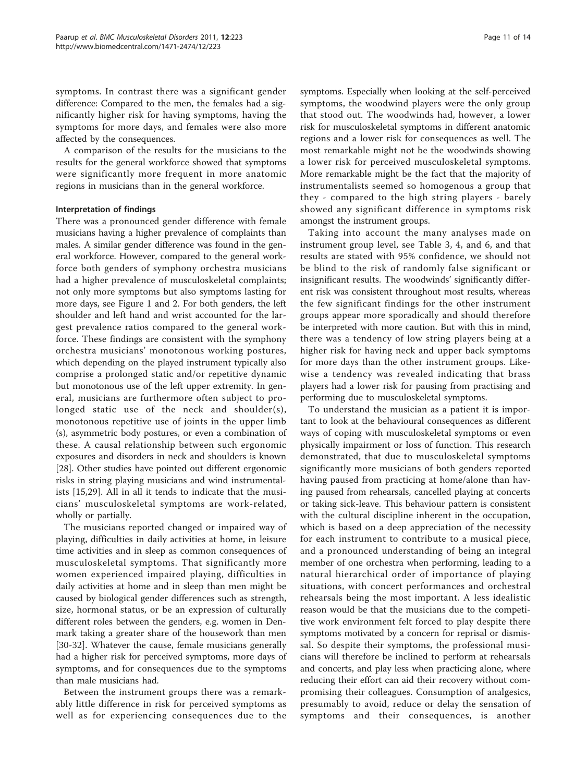symptoms. In contrast there was a significant gender difference: Compared to the men, the females had a significantly higher risk for having symptoms, having the symptoms for more days, and females were also more affected by the consequences.

A comparison of the results for the musicians to the results for the general workforce showed that symptoms were significantly more frequent in more anatomic regions in musicians than in the general workforce.

## Interpretation of findings

There was a pronounced gender difference with female musicians having a higher prevalence of complaints than males. A similar gender difference was found in the general workforce. However, compared to the general workforce both genders of symphony orchestra musicians had a higher prevalence of musculoskeletal complaints; not only more symptoms but also symptoms lasting for more days, see Figure [1](#page-4-0) and [2](#page-5-0). For both genders, the left shoulder and left hand and wrist accounted for the largest prevalence ratios compared to the general workforce. These findings are consistent with the symphony orchestra musicians' monotonous working postures, which depending on the played instrument typically also comprise a prolonged static and/or repetitive dynamic but monotonous use of the left upper extremity. In general, musicians are furthermore often subject to prolonged static use of the neck and shoulder(s), monotonous repetitive use of joints in the upper limb (s), asymmetric body postures, or even a combination of these. A causal relationship between such ergonomic exposures and disorders in neck and shoulders is known [[28\]](#page-13-0). Other studies have pointed out different ergonomic risks in string playing musicians and wind instrumentalists [[15,](#page-12-0)[29\]](#page-13-0). All in all it tends to indicate that the musicians' musculoskeletal symptoms are work-related, wholly or partially.

The musicians reported changed or impaired way of playing, difficulties in daily activities at home, in leisure time activities and in sleep as common consequences of musculoskeletal symptoms. That significantly more women experienced impaired playing, difficulties in daily activities at home and in sleep than men might be caused by biological gender differences such as strength, size, hormonal status, or be an expression of culturally different roles between the genders, e.g. women in Denmark taking a greater share of the housework than men [[30-32](#page-13-0)]. Whatever the cause, female musicians generally had a higher risk for perceived symptoms, more days of symptoms, and for consequences due to the symptoms than male musicians had.

Between the instrument groups there was a remarkably little difference in risk for perceived symptoms as well as for experiencing consequences due to the symptoms. Especially when looking at the self-perceived symptoms, the woodwind players were the only group that stood out. The woodwinds had, however, a lower risk for musculoskeletal symptoms in different anatomic regions and a lower risk for consequences as well. The most remarkable might not be the woodwinds showing a lower risk for perceived musculoskeletal symptoms. More remarkable might be the fact that the majority of instrumentalists seemed so homogenous a group that they - compared to the high string players - barely showed any significant difference in symptoms risk amongst the instrument groups.

Taking into account the many analyses made on instrument group level, see Table [3,](#page-6-0) [4,](#page-7-0) and [6](#page-8-0), and that results are stated with 95% confidence, we should not be blind to the risk of randomly false significant or insignificant results. The woodwinds' significantly different risk was consistent throughout most results, whereas the few significant findings for the other instrument groups appear more sporadically and should therefore be interpreted with more caution. But with this in mind, there was a tendency of low string players being at a higher risk for having neck and upper back symptoms for more days than the other instrument groups. Likewise a tendency was revealed indicating that brass players had a lower risk for pausing from practising and performing due to musculoskeletal symptoms.

To understand the musician as a patient it is important to look at the behavioural consequences as different ways of coping with musculoskeletal symptoms or even physically impairment or loss of function. This research demonstrated, that due to musculoskeletal symptoms significantly more musicians of both genders reported having paused from practicing at home/alone than having paused from rehearsals, cancelled playing at concerts or taking sick-leave. This behaviour pattern is consistent with the cultural discipline inherent in the occupation, which is based on a deep appreciation of the necessity for each instrument to contribute to a musical piece, and a pronounced understanding of being an integral member of one orchestra when performing, leading to a natural hierarchical order of importance of playing situations, with concert performances and orchestral rehearsals being the most important. A less idealistic reason would be that the musicians due to the competitive work environment felt forced to play despite there symptoms motivated by a concern for reprisal or dismissal. So despite their symptoms, the professional musicians will therefore be inclined to perform at rehearsals and concerts, and play less when practicing alone, where reducing their effort can aid their recovery without compromising their colleagues. Consumption of analgesics, presumably to avoid, reduce or delay the sensation of symptoms and their consequences, is another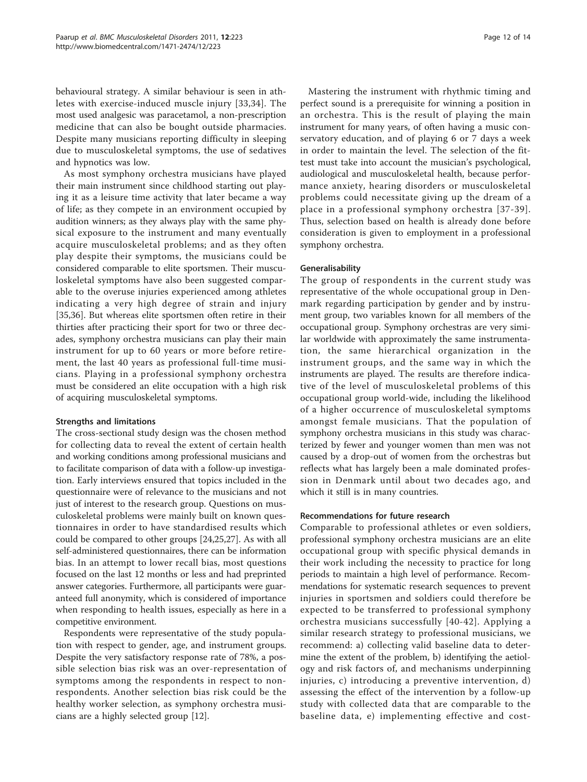behavioural strategy. A similar behaviour is seen in athletes with exercise-induced muscle injury [[33,34\]](#page-13-0). The most used analgesic was paracetamol, a non-prescription medicine that can also be bought outside pharmacies. Despite many musicians reporting difficulty in sleeping due to musculoskeletal symptoms, the use of sedatives and hypnotics was low.

As most symphony orchestra musicians have played their main instrument since childhood starting out playing it as a leisure time activity that later became a way of life; as they compete in an environment occupied by audition winners; as they always play with the same physical exposure to the instrument and many eventually acquire musculoskeletal problems; and as they often play despite their symptoms, the musicians could be considered comparable to elite sportsmen. Their musculoskeletal symptoms have also been suggested comparable to the overuse injuries experienced among athletes indicating a very high degree of strain and injury [[35,36\]](#page-13-0). But whereas elite sportsmen often retire in their thirties after practicing their sport for two or three decades, symphony orchestra musicians can play their main instrument for up to 60 years or more before retirement, the last 40 years as professional full-time musicians. Playing in a professional symphony orchestra must be considered an elite occupation with a high risk of acquiring musculoskeletal symptoms.

## Strengths and limitations

The cross-sectional study design was the chosen method for collecting data to reveal the extent of certain health and working conditions among professional musicians and to facilitate comparison of data with a follow-up investigation. Early interviews ensured that topics included in the questionnaire were of relevance to the musicians and not just of interest to the research group. Questions on musculoskeletal problems were mainly built on known questionnaires in order to have standardised results which could be compared to other groups [[24](#page-13-0),[25,27](#page-13-0)]. As with all self-administered questionnaires, there can be information bias. In an attempt to lower recall bias, most questions focused on the last 12 months or less and had preprinted answer categories. Furthermore, all participants were guaranteed full anonymity, which is considered of importance when responding to health issues, especially as here in a competitive environment.

Respondents were representative of the study population with respect to gender, age, and instrument groups. Despite the very satisfactory response rate of 78%, a possible selection bias risk was an over-representation of symptoms among the respondents in respect to nonrespondents. Another selection bias risk could be the healthy worker selection, as symphony orchestra musicians are a highly selected group [\[12](#page-12-0)].

Mastering the instrument with rhythmic timing and perfect sound is a prerequisite for winning a position in an orchestra. This is the result of playing the main instrument for many years, of often having a music conservatory education, and of playing 6 or 7 days a week in order to maintain the level. The selection of the fittest must take into account the musician's psychological, audiological and musculoskeletal health, because performance anxiety, hearing disorders or musculoskeletal problems could necessitate giving up the dream of a place in a professional symphony orchestra [[37](#page-13-0)-[39\]](#page-13-0). Thus, selection based on health is already done before consideration is given to employment in a professional symphony orchestra.

## Generalisability

The group of respondents in the current study was representative of the whole occupational group in Denmark regarding participation by gender and by instrument group, two variables known for all members of the occupational group. Symphony orchestras are very similar worldwide with approximately the same instrumentation, the same hierarchical organization in the instrument groups, and the same way in which the instruments are played. The results are therefore indicative of the level of musculoskeletal problems of this occupational group world-wide, including the likelihood of a higher occurrence of musculoskeletal symptoms amongst female musicians. That the population of symphony orchestra musicians in this study was characterized by fewer and younger women than men was not caused by a drop-out of women from the orchestras but reflects what has largely been a male dominated profession in Denmark until about two decades ago, and which it still is in many countries.

## Recommendations for future research

Comparable to professional athletes or even soldiers, professional symphony orchestra musicians are an elite occupational group with specific physical demands in their work including the necessity to practice for long periods to maintain a high level of performance. Recommendations for systematic research sequences to prevent injuries in sportsmen and soldiers could therefore be expected to be transferred to professional symphony orchestra musicians successfully [[40-42\]](#page-13-0). Applying a similar research strategy to professional musicians, we recommend: a) collecting valid baseline data to determine the extent of the problem, b) identifying the aetiology and risk factors of, and mechanisms underpinning injuries, c) introducing a preventive intervention, d) assessing the effect of the intervention by a follow-up study with collected data that are comparable to the baseline data, e) implementing effective and cost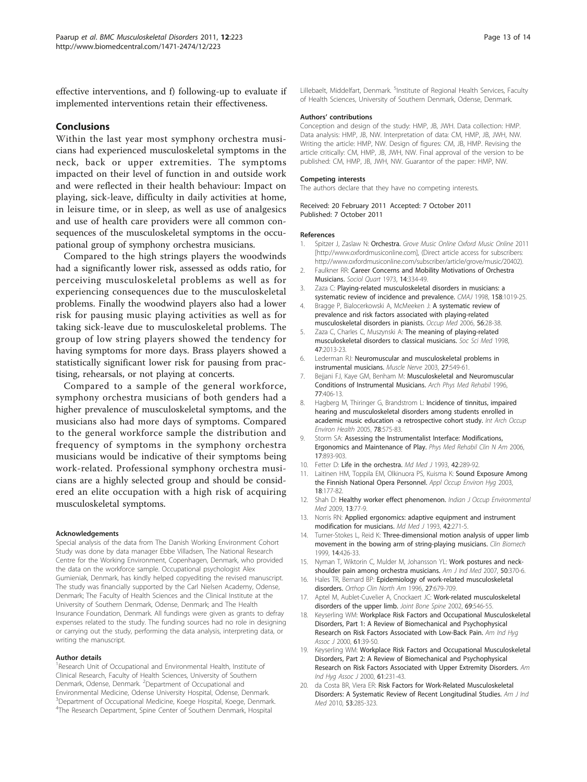<span id="page-12-0"></span>effective interventions, and f) following-up to evaluate if implemented interventions retain their effectiveness.

## **Conclusions**

Within the last year most symphony orchestra musicians had experienced musculoskeletal symptoms in the neck, back or upper extremities. The symptoms impacted on their level of function in and outside work and were reflected in their health behaviour: Impact on playing, sick-leave, difficulty in daily activities at home, in leisure time, or in sleep, as well as use of analgesics and use of health care providers were all common consequences of the musculoskeletal symptoms in the occupational group of symphony orchestra musicians.

Compared to the high strings players the woodwinds had a significantly lower risk, assessed as odds ratio, for perceiving musculoskeletal problems as well as for experiencing consequences due to the musculoskeletal problems. Finally the woodwind players also had a lower risk for pausing music playing activities as well as for taking sick-leave due to musculoskeletal problems. The group of low string players showed the tendency for having symptoms for more days. Brass players showed a statistically significant lower risk for pausing from practising, rehearsals, or not playing at concerts.

Compared to a sample of the general workforce, symphony orchestra musicians of both genders had a higher prevalence of musculoskeletal symptoms, and the musicians also had more days of symptoms. Compared to the general workforce sample the distribution and frequency of symptoms in the symphony orchestra musicians would be indicative of their symptoms being work-related. Professional symphony orchestra musicians are a highly selected group and should be considered an elite occupation with a high risk of acquiring musculoskeletal symptoms.

#### Acknowledgements

Special analysis of the data from The Danish Working Environment Cohort Study was done by data manager Ebbe Villadsen, The National Research Centre for the Working Environment, Copenhagen, Denmark, who provided the data on the workforce sample. Occupational psychologist Alex Gumieniak, Denmark, has kindly helped copyediting the revised manuscript. The study was financially supported by the Carl Nielsen Academy, Odense, Denmark; The Faculty of Health Sciences and the Clinical Institute at the University of Southern Denmark, Odense, Denmark; and The Health Insurance Foundation, Denmark. All fundings were given as grants to defray expenses related to the study. The funding sources had no role in designing or carrying out the study, performing the data analysis, interpreting data, or writing the manuscript.

#### Author details

<sup>1</sup>Research Unit of Occupational and Environmental Health, Institute of Clinical Research, Faculty of Health Sciences, University of Southern Denmark, Odense, Denmark. <sup>2</sup>Department of Occupational and Environmental Medicine, Odense University Hospital, Odense, Denmark. <sup>3</sup>Department of Occupational Medicine, Koege Hospital, Koege, Denmark. 4 The Research Department, Spine Center of Southern Denmark, Hospital

Lillebaelt, Middelfart, Denmark. <sup>5</sup>Institute of Regional Health Services, Faculty of Health Sciences, University of Southern Denmark, Odense, Denmark.

#### Authors' contributions

Conception and design of the study: HMP, JB, JWH. Data collection: HMP. Data analysis: HMP, JB, NW. Interpretation of data: CM, HMP, JB, JWH, NW. Writing the article: HMP, NW. Design of figures: CM, JB, HMP. Revising the article critically: CM, HMP, JB, JWH, NW. Final approval of the version to be published: CM, HMP, JB, JWH, NW. Guarantor of the paper: HMP, NW.

#### Competing interests

The authors declare that they have no competing interests.

Received: 20 February 2011 Accepted: 7 October 2011 Published: 7 October 2011

#### References

- Spitzer J, Zaslaw N: Orchestra. Grove Music Online Oxford Music Online 2011 [<http://www.oxfordmusiconline.com>], (Direct article access for subscribers: http://www.oxfordmusiconline.com/subscriber/article/grove/music/20402).
- 2. Faulkner RR: Career Concerns and Mobility Motivations of Orchestra Musicians. Sociol Quart 1973, 14:334-49.
- 3. Zaza C: [Playing-related musculoskeletal disorders in musicians: a](http://www.ncbi.nlm.nih.gov/pubmed/9580730?dopt=Abstract) [systematic review of incidence and prevalence.](http://www.ncbi.nlm.nih.gov/pubmed/9580730?dopt=Abstract) CMAJ 1998, 158:1019-25.
- 4. Bragge P, Bialocerkowski A, McMeeken J: A systematic review of prevalence and risk factors associated with playing-related musculoskeletal disorders in pianists. Occup Med 2006, 56:28-38.
- 5. Zaza C, Charles C, Muszynski A: [The meaning of playing-related](http://www.ncbi.nlm.nih.gov/pubmed/10075243?dopt=Abstract) [musculoskeletal disorders to classical musicians.](http://www.ncbi.nlm.nih.gov/pubmed/10075243?dopt=Abstract) Soc Sci Med 1998, 47:2013-23.
- 6. Lederman RJ: [Neuromuscular and musculoskeletal problems in](http://www.ncbi.nlm.nih.gov/pubmed/12707974?dopt=Abstract) [instrumental musicians.](http://www.ncbi.nlm.nih.gov/pubmed/12707974?dopt=Abstract) Muscle Nerve 2003, 27:549-61.
- 7. Bejjani FJ, Kaye GM, Benham M: [Musculoskeletal and Neuromuscular](http://www.ncbi.nlm.nih.gov/pubmed/8607768?dopt=Abstract) [Conditions of Instrumental Musicians.](http://www.ncbi.nlm.nih.gov/pubmed/8607768?dopt=Abstract) Arch Phys Med Rehabil 1996, 77:406-13.
- 8. Hagberg M, Thiringer G, Brandstrom L: [Incidence of tinnitus, impaired](http://www.ncbi.nlm.nih.gov/pubmed/16028091?dopt=Abstract) [hearing and musculoskeletal disorders among students enrolled in](http://www.ncbi.nlm.nih.gov/pubmed/16028091?dopt=Abstract) [academic music education -a retrospective cohort study.](http://www.ncbi.nlm.nih.gov/pubmed/16028091?dopt=Abstract) Int Arch Occup Environ Health 2005, 78:575-83.
- 9. Storm SA: [Assessing the Instrumentalist Interface: Modifications,](http://www.ncbi.nlm.nih.gov/pubmed/17097488?dopt=Abstract) [Ergonomics and Maintenance of Play.](http://www.ncbi.nlm.nih.gov/pubmed/17097488?dopt=Abstract) Phys Med Rehabil Clin N Am 2006, 17:893-903.
- 10. Fetter D: [Life in the orchestra.](http://www.ncbi.nlm.nih.gov/pubmed/8350689?dopt=Abstract) Md Med J 1993, 42:289-92.
- 11. Laitinen HM, Toppila EM, Olkinuora PS, Kuisma K: [Sound Exposure Among](http://www.ncbi.nlm.nih.gov/pubmed/12573963?dopt=Abstract) [the Finnish National Opera Personnel.](http://www.ncbi.nlm.nih.gov/pubmed/12573963?dopt=Abstract) Appl Occup Environ Hyg 2003, 18:177-82.
- 12. Shah D: Healthy worker effect phenomenon. Indian J Occup Environmental Med 2009, 13:77-9.
- 13. Norris RN: [Applied ergonomics: adaptive equipment and instrument](http://www.ncbi.nlm.nih.gov/pubmed/8350686?dopt=Abstract) [modification for musicians.](http://www.ncbi.nlm.nih.gov/pubmed/8350686?dopt=Abstract) Md Med J 1993, 42:271-5.
- 14. Turner-Stokes L, Reid K: Three-dimensional motion analysis of upper limb movement in the bowing arm of string-playing musicians. Clin Biomech 1999, 14:426-33.
- 15. Nyman T, Wiktorin C, Mulder M, Johansson YL: [Work postures and neck](http://www.ncbi.nlm.nih.gov/pubmed/17427201?dopt=Abstract)[shoulder pain among orchestra musicians.](http://www.ncbi.nlm.nih.gov/pubmed/17427201?dopt=Abstract) Am J Ind Med 2007, 50:370-6.
- 16. Hales TR, Bernard BP: [Epidemiology of work-related musculoskeletal](http://www.ncbi.nlm.nih.gov/pubmed/8823390?dopt=Abstract) [disorders.](http://www.ncbi.nlm.nih.gov/pubmed/8823390?dopt=Abstract) Orthop Clin North Am 1996, 27:679-709.
- 17. Aptel M, Aublet-Cuvelier A, Cnockaert JC: [Work-related musculoskeletal](http://www.ncbi.nlm.nih.gov/pubmed/12537261?dopt=Abstract) [disorders of the upper limb.](http://www.ncbi.nlm.nih.gov/pubmed/12537261?dopt=Abstract) Joint Bone Spine 2002, 69:546-55.
- 18. Keyserling WM: Workplace Risk Factors and Occupational Musculoskeletal Disorders, Part 1: A Review of Biomechanical and Psychophysical Research on Risk Factors Associated with Low-Back Pain. Am Ind Hyg Assoc J 2000, 61:39-50.
- 19. Keyserling WM: Workplace Risk Factors and Occupational Musculoskeletal Disorders, Part 2: A Review of Biomechanical and Psychophysical Research on Risk Factors Associated with Upper Extremity Disorders. Am Ind Hyg Assoc J 2000, 61:231-43.
- 20. da Costa BR, Viera ER: [Risk Factors for Work-Related Musculoskeletal](http://www.ncbi.nlm.nih.gov/pubmed/19753591?dopt=Abstract) [Disorders: A Systematic Review of Recent Longitudinal Studies.](http://www.ncbi.nlm.nih.gov/pubmed/19753591?dopt=Abstract) Am J Ind Med 2010, 53:285-323.